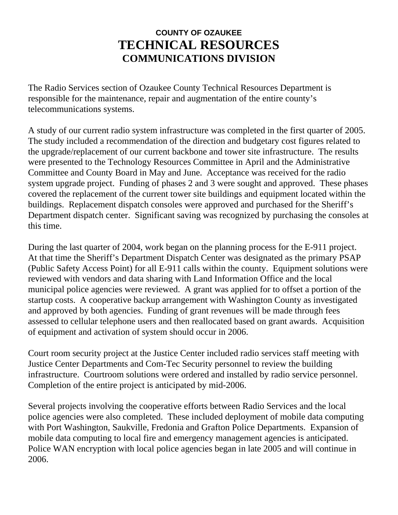## **COUNTY OF OZAUKEE TECHNICAL RESOURCES COMMUNICATIONS DIVISION**

The Radio Services section of Ozaukee County Technical Resources Department is responsible for the maintenance, repair and augmentation of the entire county's telecommunications systems.

A study of our current radio system infrastructure was completed in the first quarter of 2005. The study included a recommendation of the direction and budgetary cost figures related to the upgrade/replacement of our current backbone and tower site infrastructure. The results were presented to the Technology Resources Committee in April and the Administrative Committee and County Board in May and June. Acceptance was received for the radio system upgrade project. Funding of phases 2 and 3 were sought and approved. These phases covered the replacement of the current tower site buildings and equipment located within the buildings. Replacement dispatch consoles were approved and purchased for the Sheriff's Department dispatch center. Significant saving was recognized by purchasing the consoles at this time.

During the last quarter of 2004, work began on the planning process for the E-911 project. At that time the Sheriff's Department Dispatch Center was designated as the primary PSAP (Public Safety Access Point) for all E-911 calls within the county. Equipment solutions were reviewed with vendors and data sharing with Land Information Office and the local municipal police agencies were reviewed. A grant was applied for to offset a portion of the startup costs. A cooperative backup arrangement with Washington County as investigated and approved by both agencies. Funding of grant revenues will be made through fees assessed to cellular telephone users and then reallocated based on grant awards. Acquisition of equipment and activation of system should occur in 2006.

Court room security project at the Justice Center included radio services staff meeting with Justice Center Departments and Com-Tec Security personnel to review the building infrastructure. Courtroom solutions were ordered and installed by radio service personnel. Completion of the entire project is anticipated by mid-2006.

Several projects involving the cooperative efforts between Radio Services and the local police agencies were also completed. These included deployment of mobile data computing with Port Washington, Saukville, Fredonia and Grafton Police Departments. Expansion of mobile data computing to local fire and emergency management agencies is anticipated. Police WAN encryption with local police agencies began in late 2005 and will continue in 2006.